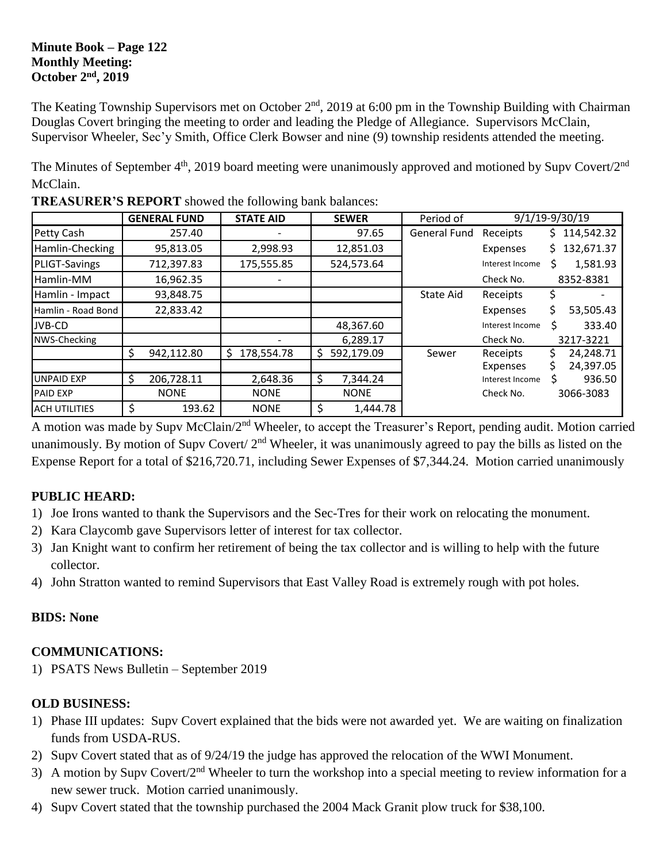### **Minute Book – Page 122 Monthly Meeting: October 2nd, 2019**

The Keating Township Supervisors met on October 2<sup>nd</sup>, 2019 at 6:00 pm in the Township Building with Chairman Douglas Covert bringing the meeting to order and leading the Pledge of Allegiance. Supervisors McClain, Supervisor Wheeler, Sec'y Smith, Office Clerk Bowser and nine (9) township residents attended the meeting.

The Minutes of September 4<sup>th</sup>, 2019 board meeting were unanimously approved and motioned by Supv Covert/2<sup>nd</sup> McClain.

|                      |    | <b>GENERAL FUND</b> | <b>STATE AID</b> |    | $9/1/19 - 9/30/19$<br>Period of<br><b>SEWER</b> |                  |                 |    |              |
|----------------------|----|---------------------|------------------|----|-------------------------------------------------|------------------|-----------------|----|--------------|
| Petty Cash           |    | 257.40              |                  |    | 97.65                                           | General Fund     | Receipts        |    | \$114,542.32 |
| Hamlin-Checking      |    | 95,813.05           | 2,998.93         |    | 12,851.03                                       |                  | Expenses        | Ś. | 132,671.37   |
| PLIGT-Savings        |    | 712,397.83          | 175,555.85       |    | 524,573.64                                      |                  | Interest Income |    | 1,581.93     |
| Hamlin-MM            |    | 16,962.35           |                  |    |                                                 |                  | Check No.       |    | 8352-8381    |
| Hamlin - Impact      |    | 93,848.75           |                  |    |                                                 | <b>State Aid</b> | Receipts        |    |              |
| Hamlin - Road Bond   |    | 22,833.42           |                  |    |                                                 |                  | Expenses        |    | 53,505.43    |
| JVB-CD               |    |                     |                  |    | 48,367.60                                       |                  | Interest Income | S  | 333.40       |
| NWS-Checking         |    |                     |                  |    | 6.289.17                                        |                  | Check No.       |    | 3217-3221    |
|                      | Ś  | 942,112.80          | 178,554.78<br>Ś. | S. | 592,179.09                                      | Sewer            | Receipts        |    | 24,248.71    |
|                      |    |                     |                  |    |                                                 |                  | Expenses        |    | 24,397.05    |
| <b>UNPAID EXP</b>    | Ś  | 206,728.11          | 2,648.36         | \$ | 7,344.24                                        |                  | Interest Income |    | 936.50       |
| <b>PAID EXP</b>      |    | <b>NONE</b>         | <b>NONE</b>      |    | <b>NONE</b>                                     |                  | Check No.       |    | 3066-3083    |
| <b>ACH UTILITIES</b> | \$ | 193.62              | <b>NONE</b>      | \$ | 1,444.78                                        |                  |                 |    |              |

|  | <b>TREASURER'S REPORT</b> showed the following bank balances: |
|--|---------------------------------------------------------------|
|--|---------------------------------------------------------------|

A motion was made by Supv McClain/2<sup>nd</sup> Wheeler, to accept the Treasurer's Report, pending audit. Motion carried unanimously. By motion of Supv Covert/  $2<sup>nd</sup>$  Wheeler, it was unanimously agreed to pay the bills as listed on the Expense Report for a total of \$216,720.71, including Sewer Expenses of \$7,344.24. Motion carried unanimously

# **PUBLIC HEARD:**

- 1) Joe Irons wanted to thank the Supervisors and the Sec-Tres for their work on relocating the monument.
- 2) Kara Claycomb gave Supervisors letter of interest for tax collector.
- 3) Jan Knight want to confirm her retirement of being the tax collector and is willing to help with the future collector.
- 4) John Stratton wanted to remind Supervisors that East Valley Road is extremely rough with pot holes.

# **BIDS: None**

# **COMMUNICATIONS:**

1) PSATS News Bulletin – September 2019

# **OLD BUSINESS:**

- 1) Phase III updates: Supv Covert explained that the bids were not awarded yet. We are waiting on finalization funds from USDA-RUS.
- 2) Supv Covert stated that as of 9/24/19 the judge has approved the relocation of the WWI Monument.
- 3) A motion by Supv Covert/ $2<sup>nd</sup>$  Wheeler to turn the workshop into a special meeting to review information for a new sewer truck. Motion carried unanimously.
- 4) Supv Covert stated that the township purchased the 2004 Mack Granit plow truck for \$38,100.